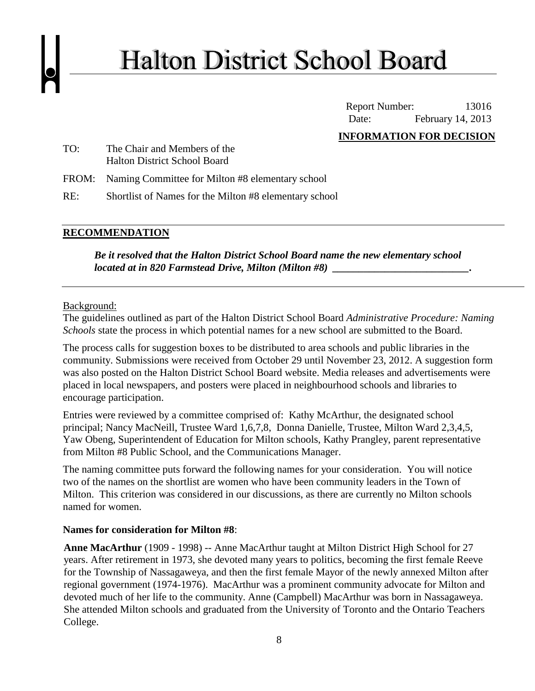# **Halton District School Board**

Report Number: 13016 Date: February 14, 2013

### **INFORMATION FOR DECISION**

- TO: The Chair and Members of the Halton District School Board
- FROM: Naming Committee for Milton #8 elementary school
- RE: Shortlist of Names for the Milton #8 elementary school

## **RECOMMENDATION**

*Be it resolved that the Halton District School Board name the new elementary school located at in 820 Farmstead Drive, Milton (Milton #8) \_\_\_\_\_\_\_\_\_\_\_\_\_\_\_\_\_\_\_\_\_\_\_\_\_\_.*

#### Background:

The guidelines outlined as part of the Halton District School Board *Administrative Procedure: Naming Schools* state the process in which potential names for a new school are submitted to the Board.

The process calls for suggestion boxes to be distributed to area schools and public libraries in the community. Submissions were received from October 29 until November 23, 2012. A suggestion form was also posted on the Halton District School Board website. Media releases and advertisements were placed in local newspapers, and posters were placed in neighbourhood schools and libraries to encourage participation.

Entries were reviewed by a committee comprised of: Kathy McArthur, the designated school principal; Nancy MacNeill, Trustee Ward 1,6,7,8, Donna Danielle, Trustee, Milton Ward 2,3,4,5, Yaw Obeng, Superintendent of Education for Milton schools, Kathy Prangley, parent representative from Milton #8 Public School, and the Communications Manager.

The naming committee puts forward the following names for your consideration. You will notice two of the names on the shortlist are women who have been community leaders in the Town of Milton. This criterion was considered in our discussions, as there are currently no Milton schools named for women.

#### **Names for consideration for Milton #8**:

**Anne MacArthur** (1909 - 1998) -- Anne MacArthur taught at Milton District High School for 27 years. After retirement in 1973, she devoted many years to politics, becoming the first female Reeve for the Township of Nassagaweya, and then the first female Mayor of the newly annexed Milton after regional government (1974-1976). MacArthur was a prominent community advocate for Milton and devoted much of her life to the community. Anne (Campbell) MacArthur was born in Nassagaweya. She attended Milton schools and graduated from the University of Toronto and the Ontario Teachers College.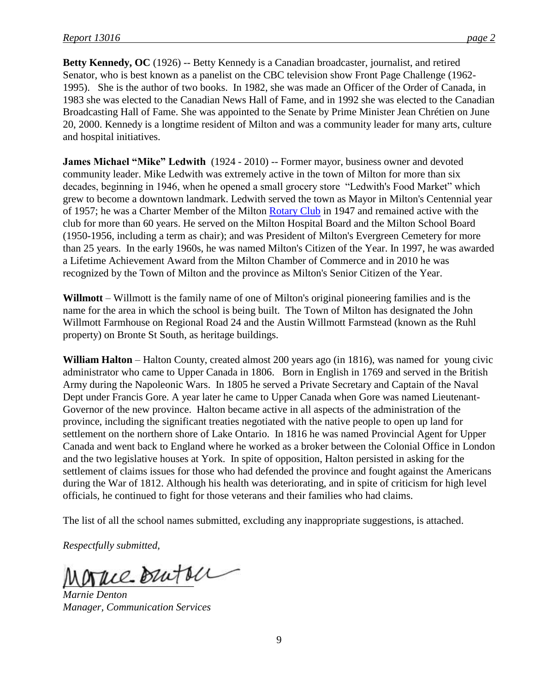**Betty Kennedy, OC** (1926) -- Betty Kennedy is a Canadian broadcaster, journalist, and retired Senator, who is best known as a panelist on the CBC television show Front Page Challenge (1962- 1995). She is the author of two books. In 1982, she was made an Officer of the Order of Canada, in 1983 she was elected to the Canadian News Hall of Fame, and in 1992 she was elected to the Canadian Broadcasting Hall of Fame. She was appointed to the Senate by Prime Minister Jean Chrétien on June 20, 2000. Kennedy is a longtime resident of Milton and was a community leader for many arts, culture and hospital initiatives.

**James Michael "Mike" Ledwith** (1924 - 2010) -- Former mayor, business owner and devoted community leader. Mike Ledwith was extremely active in the town of Milton for more than six decades, beginning in 1946, when he opened a small grocery store "Ledwith's Food Market" which grew to become a downtown landmark. Ledwith served the town as Mayor in Milton's Centennial year of 1957; he was a Charter Member of the Milton [Rotary Club](http://www.legacy.com/memorial-sites/rotary-international/?personid=143937955&affiliateID=2502) in 1947 and remained active with the club for more than 60 years. He served on the Milton Hospital Board and the Milton School Board (1950-1956, including a term as chair); and was President of Milton's Evergreen Cemetery for more than 25 years. In the early 1960s, he was named Milton's Citizen of the Year. In 1997, he was awarded a Lifetime Achievement Award from the Milton Chamber of Commerce and in 2010 he was recognized by the Town of Milton and the province as Milton's Senior Citizen of the Year.

**Willmott** – Willmott is the family name of one of Milton's original pioneering families and is the name for the area in which the school is being built. The Town of Milton has designated the John Willmott Farmhouse on Regional Road 24 and the Austin Willmott Farmstead (known as the Ruhl property) on Bronte St South, as heritage buildings.

**William Halton** – Halton County, created almost 200 years ago (in 1816), was named for young civic administrator who came to Upper Canada in 1806. Born in English in 1769 and served in the British Army during the Napoleonic Wars. In 1805 he served a Private Secretary and Captain of the Naval Dept under Francis Gore. A year later he came to Upper Canada when Gore was named Lieutenant-Governor of the new province. Halton became active in all aspects of the administration of the province, including the significant treaties negotiated with the native people to open up land for settlement on the northern shore of Lake Ontario. In 1816 he was named Provincial Agent for Upper Canada and went back to England where he worked as a broker between the Colonial Office in London and the two legislative houses at York. In spite of opposition, Halton persisted in asking for the settlement of claims issues for those who had defended the province and fought against the Americans during the War of 1812. Although his health was deteriorating, and in spite of criticism for high level officials, he continued to fight for those veterans and their families who had claims.

The list of all the school names submitted, excluding any inappropriate suggestions, is attached.

*Respectfully submitted,*

 $\Delta \mu$ ce Butte

*Marnie Denton Manager, Communication Services*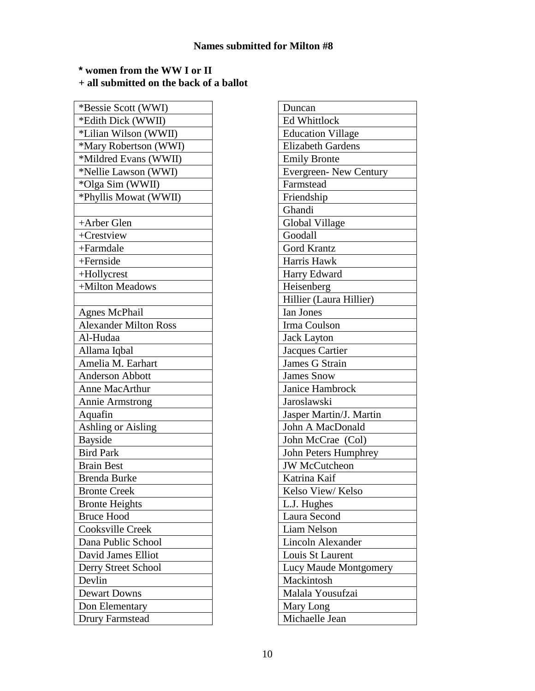**\* women from the WW I or II**

**+ all submitted on the back of a ballot**

| *Edith Dick (WWII)           |
|------------------------------|
| *Lilian Wilson (WWII)        |
| *Mary Robertson (WWI)        |
| *Mildred Evans (WWII)        |
| *Nellie Lawson (WWI)         |
| *Olga Sim (WWII)             |
| *Phyllis Mowat (WWII)        |
|                              |
| +Arber Glen                  |
| +Crestview                   |
| +Farmdale                    |
| +Fernside                    |
| +Hollycrest                  |
| +Milton Meadows              |
|                              |
| <b>Agnes McPhail</b>         |
| <b>Alexander Milton Ross</b> |
| Al-Hudaa                     |
| Allama Iqbal                 |
| Amelia M. Earhart            |
| <b>Anderson Abbott</b>       |
| Anne MacArthur               |
| <b>Annie Armstrong</b>       |
| Aquafin                      |
| <b>Ashling or Aisling</b>    |
| <b>Bayside</b>               |
| <b>Bird Park</b>             |
| <b>Brain Best</b>            |
| <b>Brenda Burke</b>          |
| <b>Bronte Creek</b>          |
| <b>Bronte Heights</b>        |
| <b>Bruce Hood</b>            |
| Cooksville Creek             |
| Dana Public School           |
| David James Elliot           |
| Derry Street School          |
| Devlin                       |
| <b>Dewart Downs</b>          |
| Don Elementary               |
| <b>Drury Farmstead</b>       |

| Duncan                       |
|------------------------------|
| <b>Ed Whittlock</b>          |
| <b>Education Village</b>     |
| <b>Elizabeth Gardens</b>     |
| <b>Emily Bronte</b>          |
| <b>Evergreen-New Century</b> |
| Farmstead                    |
| Friendship                   |
| Ghandi                       |
| <b>Global Village</b>        |
| Goodall                      |
| <b>Gord Krantz</b>           |
| Harris Hawk                  |
| Harry Edward                 |
| Heisenberg                   |
| Hillier (Laura Hillier)      |
| Ian Jones                    |
| Irma Coulson                 |
| <b>Jack Layton</b>           |
| Jacques Cartier              |
| James G Strain               |
| <b>James Snow</b>            |
| <b>Janice Hambrock</b>       |
| Jaroslawski                  |
| Jasper Martin/J. Martin      |
| John A MacDonald             |
| John McCrae (Col)            |
| John Peters Humphrey         |
| <b>JW McCutcheon</b>         |
| Katrina Kaif                 |
| Kelso View/Kelso             |
| L.J. Hughes                  |
| Laura Second                 |
| Liam Nelson                  |
| Lincoln Alexander            |
| Louis St Laurent             |
| Lucy Maude Montgomery        |
| Mackintosh                   |
| Malala Yousufzai             |
| Mary Long                    |
| Michaelle Jean               |